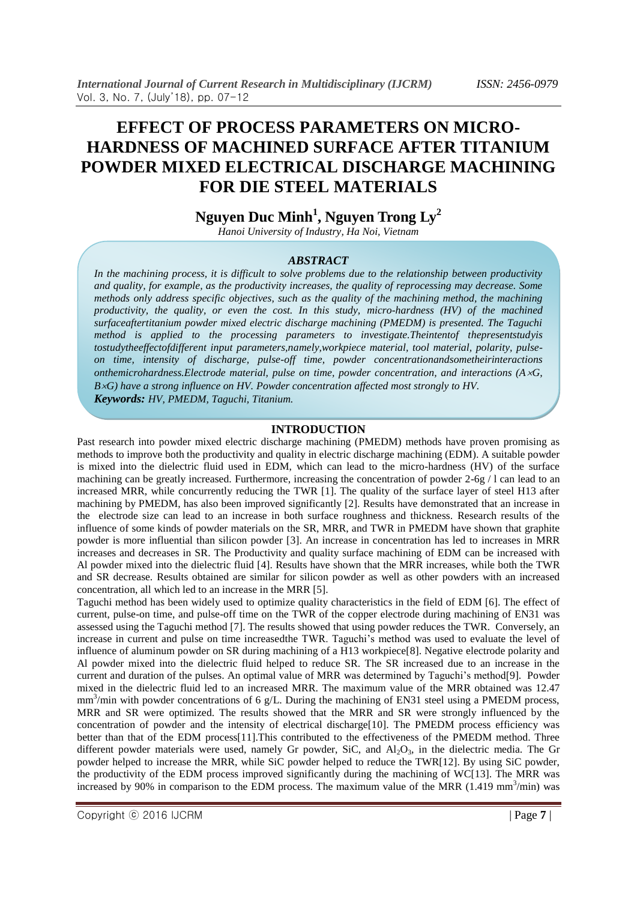# **EFFECT OF PROCESS PARAMETERS ON MICRO-HARDNESS OF MACHINED SURFACE AFTER TITANIUM POWDER MIXED ELECTRICAL DISCHARGE MACHINING FOR DIE STEEL MATERIALS**

## **Nguyen Duc Minh<sup>1</sup> , Nguyen Trong Ly<sup>2</sup>**

*Hanoi University of Industry, Ha Noi, Vietnam*

#### *ABSTRACT*

*In the machining process, it is difficult to solve problems due to the relationship between productivity and quality, for example, as the productivity increases, the quality of reprocessing may decrease. Some methods only address specific objectives, such as the quality of the machining method, the machining productivity, the quality, or even the cost. In this study, micro-hardness (HV) of the machined surfaceaftertitanium powder mixed electric discharge machining (PMEDM) is presented. The Taguchi method is applied to the processing parameters to investigate.Theintentof thepresentstudyis tostudytheeffectofdifferent input parameters,namely,workpiece material, tool material, polarity, pulseon time, intensity of discharge, pulse-off time, powder concentrationandsometheirinteractions onthemicrohardness.Electrode material, pulse on time, powder concentration, and interactions (AG, BG) have a strong influence on HV. Powder concentration affected most strongly to HV. Keywords: HV, PMEDM, Taguchi, Titanium.*

### **INTRODUCTION**

Past research into powder mixed electric discharge machining (PMEDM) methods have proven promising as methods to improve both the productivity and quality in electric discharge machining (EDM). A suitable powder is mixed into the dielectric fluid used in EDM, which can lead to the micro-hardness (HV) of the surface machining can be greatly increased. Furthermore, increasing the concentration of powder 2-6g / l can lead to an increased MRR, while concurrently reducing the TWR [1]. The quality of the surface layer of steel H13 after machining by PMEDM, has also been improved significantly [2]. Results have demonstrated that an increase in the electrode size can lead to an increase in both surface roughness and thickness. Research results of the influence of some kinds of powder materials on the SR, MRR, and TWR in PMEDM have shown that graphite powder is more influential than silicon powder [3]. An increase in concentration has led to increases in MRR increases and decreases in SR. The Productivity and quality surface machining of EDM can be increased with Al powder mixed into the dielectric fluid [4]. Results have shown that the MRR increases, while both the TWR and SR decrease. Results obtained are similar for silicon powder as well as other powders with an increased concentration, all which led to an increase in the MRR [5].

Taguchi method has been widely used to optimize quality characteristics in the field of EDM [6]. The effect of current, pulse-on time, and pulse-off time on the TWR of the copper electrode during machining of EN31 was assessed using the Taguchi method [7]. The results showed that using powder reduces the TWR. Conversely, an increase in current and pulse on time increasedthe TWR. Taguchi's method was used to evaluate the level of influence of aluminum powder on SR during machining of a H13 workpiece[8]. Negative electrode polarity and Al powder mixed into the dielectric fluid helped to reduce SR. The SR increased due to an increase in the current and duration of the pulses. An optimal value of MRR was determined by Taguchi's method[9]. Powder mixed in the dielectric fluid led to an increased MRR. The maximum value of the MRR obtained was 12.47 mm<sup>3</sup>/min with powder concentrations of 6 g/L. During the machining of EN31 steel using a PMEDM process, MRR and SR were optimized. The results showed that the MRR and SR were strongly influenced by the concentration of powder and the intensity of electrical discharge[10]. The PMEDM process efficiency was better than that of the EDM process[11].This contributed to the effectiveness of the PMEDM method. Three different powder materials were used, namely Gr powder, SiC, and  $Al_2O_3$ , in the dielectric media. The Gr powder helped to increase the MRR, while SiC powder helped to reduce the TWR[12]. By using SiC powder, the productivity of the EDM process improved significantly during the machining of WC[13]. The MRR was increased by  $90\%$  in comparison to the EDM process. The maximum value of the MRR (1.419 mm<sup>3</sup>/min) was

Copyright ⓒ 2016 IJCRM | Page **7** |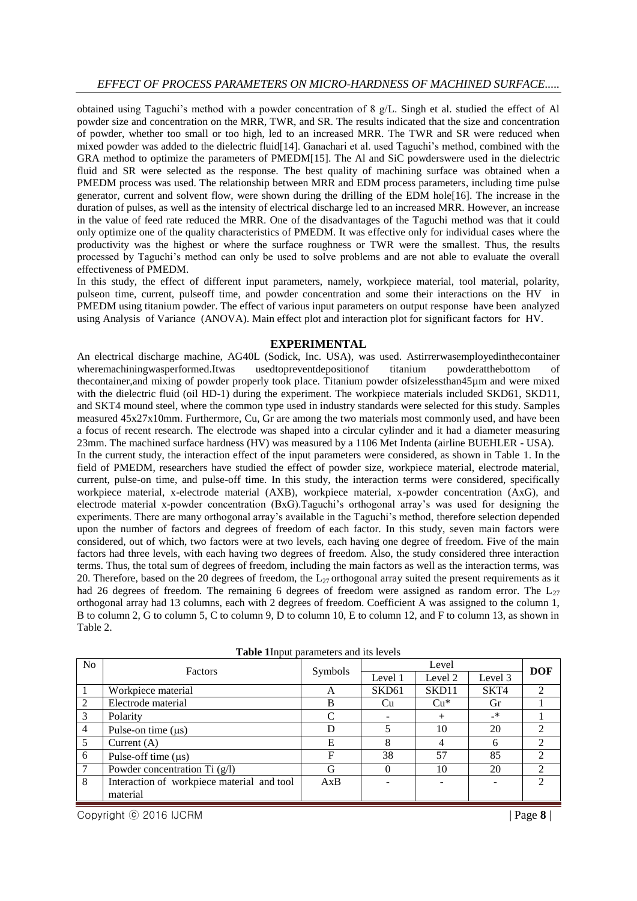obtained using Taguchi's method with a powder concentration of 8 g/L. Singh et al. studied the effect of Al powder size and concentration on the MRR, TWR, and SR. The results indicated that the size and concentration of powder, whether too small or too high, led to an increased MRR. The TWR and SR were reduced when mixed powder was added to the dielectric fluid[14]. Ganachari et al. used Taguchi's method, combined with the GRA method to optimize the parameters of PMEDM[15]. The Al and SiC powderswere used in the dielectric fluid and SR were selected as the response. The best quality of machining surface was obtained when a PMEDM process was used. The relationship between MRR and EDM process parameters, including time pulse generator, current and solvent flow, were shown during the drilling of the EDM hole[16]. The increase in the duration of pulses, as well as the intensity of electrical discharge led to an increased MRR. However, an increase in the value of feed rate reduced the MRR. One of the disadvantages of the Taguchi method was that it could only optimize one of the quality characteristics of PMEDM. It was effective only for individual cases where the productivity was the highest or where the surface roughness or TWR were the smallest. Thus, the results processed by Taguchi's method can only be used to solve problems and are not able to evaluate the overall effectiveness of PMEDM.

In this study, the effect of different input parameters, namely, workpiece material, tool material, polarity, pulseon time, current, pulseoff time, and powder concentration and some their interactions on the HV in PMEDM using titanium powder. The effect of various input parameters on output response have been analyzed using Analysis of Variance (ANOVA). Main effect plot and interaction plot for significant factors for HV.

#### **EXPERIMENTAL**

An electrical discharge machine, AG40L (Sodick, Inc. USA), was used. Astirrerwasemployedinthecontainer wheremachiningwasperformed.Itwas usedtopreventdeposition of titanium powderatthebottom of wheremachiningwasperformed.Itwas usedtopreventdepositionof titanium powderatthebottom of thecontainer,and mixing of powder properly took place. Titanium powder ofsizelessthan45µm and were mixed with the dielectric fluid (oil HD-1) during the experiment. The workpiece materials included SKD61, SKD11, and SKT4 mound steel, where the common type used in industry standards were selected for this study. Samples measured 45x27x10mm. Furthermore, Cu, Gr are among the two materials most commonly used, and have been a focus of recent research. The electrode was shaped into a circular cylinder and it had a diameter measuring 23mm. The machined surface hardness (HV) was measured by a 1106 Met Indenta (airline BUEHLER - USA). In the current study, the interaction effect of the input parameters were considered, as shown in Table 1. In the field of PMEDM, researchers have studied the effect of powder size, workpiece material, electrode material, current, pulse-on time, and pulse-off time. In this study, the interaction terms were considered, specifically workpiece material, x-electrode material (AXB), workpiece material, x-powder concentration (AxG), and electrode material x-powder concentration (BxG).Taguchi's orthogonal array's was used for designing the experiments. There are many orthogonal array's available in the Taguchi's method, therefore selection depended upon the number of factors and degrees of freedom of each factor. In this study, seven main factors were considered, out of which, two factors were at two levels, each having one degree of freedom. Five of the main factors had three levels, with each having two degrees of freedom. Also, the study considered three interaction terms. Thus, the total sum of degrees of freedom, including the main factors as well as the interaction terms, was 20. Therefore, based on the 20 degrees of freedom, the  $L_{27}$  orthogonal array suited the present requirements as it had 26 degrees of freedom. The remaining 6 degrees of freedom were assigned as random error. The  $L_{27}$ orthogonal array had 13 columns, each with 2 degrees of freedom. Coefficient A was assigned to the column 1, B to column 2, G to column 5, C to column 9, D to column 10, E to column 12, and F to column 13, as shown in Table 2.

| N <sub>o</sub> | <b>Factors</b>                             | Symbols |                   | <b>DOF</b> |         |                             |
|----------------|--------------------------------------------|---------|-------------------|------------|---------|-----------------------------|
|                |                                            |         | Level 1           | Level 2    | Level 3 |                             |
|                | Workpiece material                         |         | SKD <sub>61</sub> | SKD11      | SKT4    |                             |
| 2              | Electrode material                         | B       | Cu                | $Cu*$      | Gr      |                             |
| 3              | Polarity                                   | C       |                   | $^{+}$     | _*      |                             |
| $\overline{4}$ | Pulse-on time $(us)$                       | D       |                   | 10         | 20      | $\mathcal{D}_{\mathcal{L}}$ |
| 5              | Current $(A)$                              | E       | 8                 | 4          | 6       | 2                           |
| 6              | Pulse-off time $(\mu s)$                   | F       | 38                | 57         | 85      |                             |
| $\overline{7}$ | Powder concentration Ti $(g/l)$            | G       | $\Omega$          | 10         | 20      | ∍                           |
| 8              | Interaction of workpiece material and tool | AxB     |                   |            |         |                             |
|                | material                                   |         |                   |            |         |                             |

**Table 1**Input parameters and its levels

Copyright ⓒ 2016 IJCRM | Page **8** |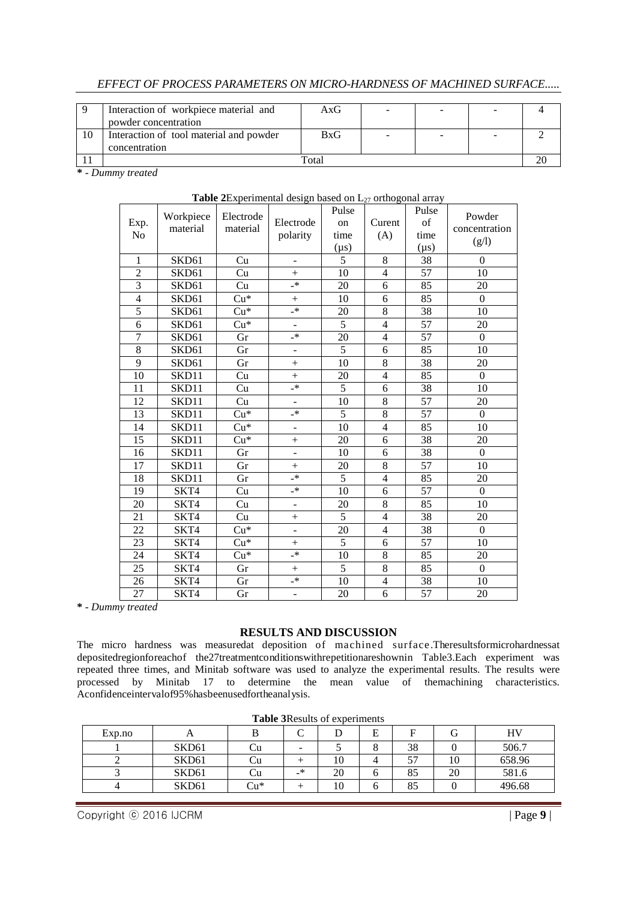## *EFFECT OF PROCESS PARAMETERS ON MICRO-HARDNESS OF MACHINED SURFACE.....*

|    | Interaction of workpiece material and   | AxG |  |   |  |  |
|----|-----------------------------------------|-----|--|---|--|--|
|    | powder concentration                    |     |  |   |  |  |
| 10 | Interaction of tool material and powder | BxG |  | - |  |  |
|    | concentration                           |     |  |   |  |  |
|    | Total                                   |     |  |   |  |  |

**\*** *- Dummy treated*

| Exp.<br>No               | Workpiece<br>material | Electrode<br>material | Electrode<br>polarity    | Pulse<br>on<br>time<br>$(\mu s)$ | Curent<br>(A)  | Pulse<br>of<br>time<br>$(\mu s)$ | Powder<br>concentration<br>(g/l) |
|--------------------------|-----------------------|-----------------------|--------------------------|----------------------------------|----------------|----------------------------------|----------------------------------|
| $\mathbf{1}$             | SKD61                 | Cu                    | ÷,                       | $\overline{5}$                   | 8              | $\overline{38}$                  | $\overline{0}$                   |
| $\overline{2}$           | SKD61                 | Cu                    | $\ddot{}$                | 10                               | $\overline{4}$ | 57                               | 10                               |
| 3                        | SKD61                 | Cu                    | $\mathbf{R}^*$           | 20                               | 6              | 85                               | 20                               |
| $\overline{\mathcal{L}}$ | SKD61                 | $Cu*$                 | $^{+}$                   | 10                               | 6              | 85                               | $\mathbf{0}$                     |
| $\overline{5}$           | SKD61                 | $Cu*$                 | $\rightarrow$            | $20\,$                           | 8              | 38                               | 10                               |
| 6                        | SKD61                 | $Cu*$                 | $\overline{\phantom{0}}$ | $\overline{5}$                   | $\overline{4}$ | $\overline{57}$                  | 20                               |
| $\overline{7}$           | SKD61                 | Gr                    | $\cdot^*$                | 20                               | $\overline{4}$ | 57                               | $\boldsymbol{0}$                 |
| 8                        | SKD61                 | Gr                    | ÷,                       | $\overline{5}$                   | 6              | 85                               | 10                               |
| 9                        | SKD61                 | Gr                    | $\ddot{}$                | 10                               | 8              | 38                               | 20                               |
| 10                       | SKD11                 | Cu                    | $+$                      | 20                               | $\overline{4}$ | 85                               | $\boldsymbol{0}$                 |
| 11                       | SKD11                 | Cu                    | $\mathbf{R}$             | 5                                | 6              | 38                               | 10                               |
| 12                       | SKD11                 | Cu                    | $\overline{a}$           | 10                               | 8              | 57                               | 20                               |
| 13                       | SKD11                 | $Cu*$                 | $\mathbf{R}$             | $\overline{5}$                   | 8              | $\overline{57}$                  | $\mathbf{0}$                     |
| 14                       | SKD11                 | $Cu*$                 | ÷,                       | 10                               | $\overline{4}$ | 85                               | 10                               |
| 15                       | SKD11                 | $Cu*$                 | $^{+}$                   | 20                               | 6              | 38                               | 20                               |
| 16                       | SKD11                 | Gr                    | ÷,                       | 10                               | 6              | 38                               | $\mathbf{0}$                     |
| 17                       | SKD11                 | Gr                    | $+$                      | 20                               | 8              | 57                               | 10                               |
| 18                       | SKD11                 | Gr                    | $\cdot^*$                | $\overline{5}$                   | $\overline{4}$ | 85                               | 20                               |
| 19                       | SKT4                  | Cu                    | _*                       | 10                               | 6              | 57                               | $\boldsymbol{0}$                 |
| 20                       | SKT4                  | Cu                    | $\overline{a}$           | 20                               | 8              | 85                               | 10                               |
| 21                       | SKT4                  | Cu                    | $^{+}$                   | 5                                | $\overline{4}$ | 38                               | 20                               |
| 22                       | SKT4                  | $Cu*$                 | ÷                        | 20                               | $\overline{4}$ | 38                               | $\mathbf{0}$                     |
| 23                       | SKT4                  | $Cu*$                 | $+$                      | 5                                | 6              | 57                               | 10                               |
| 24                       | SKT4                  | $Cu*$                 | $\mathbf{R}^*$           | 10                               | 8              | 85                               | 20                               |
| 25                       | SKT4                  | Gr                    | $\ddot{}$                | 5                                | 8              | 85                               | $\overline{0}$                   |
| 26                       | SKT4                  | Gr                    | $\rightarrow$            | 10                               | $\overline{4}$ | 38                               | 10                               |
| 27                       | SKT4                  | Gr                    | ÷,                       | 20                               | $\overline{6}$ | $\overline{57}$                  | 20                               |

## **Table 2**Experimental design based on  $L_{27}$  orthogonal array

**\*** *- Dummy treated*

## **RESULTS AND DISCUSSION**

The micro hardness was measuredat deposition of machined surface .Theresultsformicrohardnessat depositedregionforeachof the27treatmentconditionswithrepetitionareshownin Table3.Each experiment was repeated three times, and Minitab software was used to analyze the experimental results. The results were processed by Minitab 17 to determine the mean value of themachining characteristics. Aconfidenceintervalof95%hasbeenusedfortheanalysis.

| <b>Lable SKCSURS OF CAPCHILICITIS</b> |                   |     |                          |    |   |    |    |        |  |
|---------------------------------------|-------------------|-----|--------------------------|----|---|----|----|--------|--|
| Exp.no                                |                   |     |                          |    | E | F  |    | HV     |  |
|                                       | SKD <sub>61</sub> |     | $\overline{\phantom{a}}$ |    |   | 38 |    | 506.7  |  |
|                                       | SKD <sub>61</sub> |     |                          | 10 |   | 57 | ΙU | 658.96 |  |
|                                       | SKD <sub>61</sub> |     | _*                       | 20 |   | 85 | 20 | 581.6  |  |
|                                       | SKD <sub>61</sub> | Cu* |                          | 10 |   | 85 |    | 496.68 |  |

**Table 3**Results of experiments

Copyright ⓒ 2016 IJCRM | Page **9** |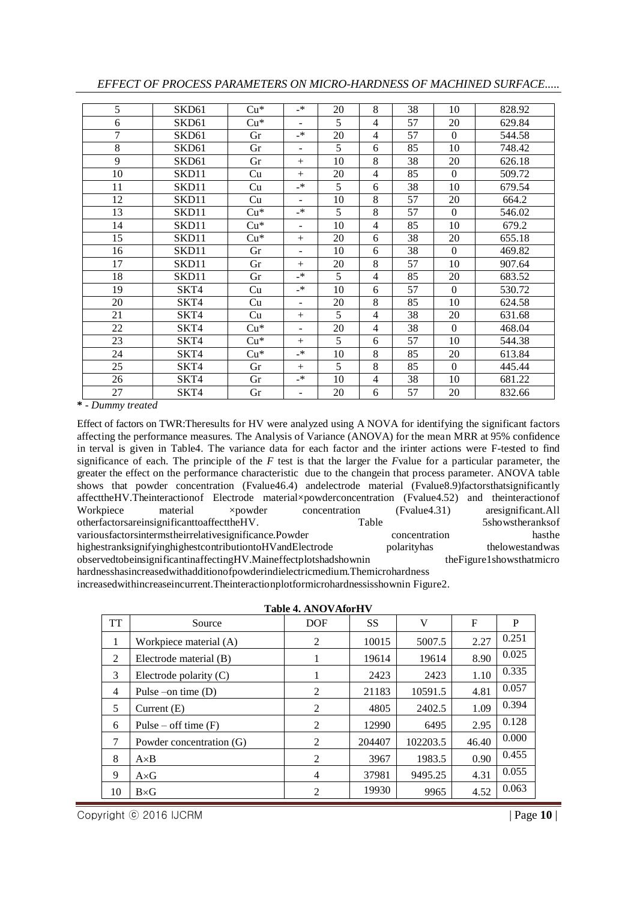| 5  | SKD <sub>61</sub> | $Cu*$ | $_{-*}$                  | 20 | 8              | 38 | 10       | 828.92 |
|----|-------------------|-------|--------------------------|----|----------------|----|----------|--------|
| 6  | SKD <sub>61</sub> | $Cu*$ | $\overline{\phantom{a}}$ | 5  | 4              | 57 | 20       | 629.84 |
| 7  | SKD61             | Gr    | $_{-*}$                  | 20 | $\overline{4}$ | 57 | $\Omega$ | 544.58 |
| 8  | SKD <sub>61</sub> | Gr    | $\overline{\phantom{a}}$ | 5  | 6              | 85 | 10       | 748.42 |
| 9  | SKD <sub>61</sub> | Gr    | $+$                      | 10 | 8              | 38 | 20       | 626.18 |
| 10 | SKD11             | Cu    | $+$                      | 20 | 4              | 85 | $\Omega$ | 509.72 |
| 11 | SKD11             | Cu    | $\rightarrow$            | 5  | 6              | 38 | 10       | 679.54 |
| 12 | SKD11             | Cu    |                          | 10 | 8              | 57 | 20       | 664.2  |
| 13 | SKD11             | $Cu*$ | _*                       | 5  | 8              | 57 | $\Omega$ | 546.02 |
| 14 | SKD11             | $Cu*$ | ٠                        | 10 | $\overline{4}$ | 85 | 10       | 679.2  |
| 15 | SKD11             | $Cu*$ | $+$                      | 20 | 6              | 38 | 20       | 655.18 |
| 16 | SKD11             | Gr    | $\overline{\phantom{a}}$ | 10 | 6              | 38 | $\Omega$ | 469.82 |
| 17 | SKD11             | Gr    | $+$                      | 20 | 8              | 57 | 10       | 907.64 |
| 18 | SKD11             | Gr    | $\mathbf{R}$             | 5  | 4              | 85 | 20       | 683.52 |
| 19 | SKT4              | Cu    | $_{-*}$                  | 10 | 6              | 57 | $\Omega$ | 530.72 |
| 20 | SKT4              | Cu    | ٠                        | 20 | 8              | 85 | 10       | 624.58 |
| 21 | SKT4              | Cu    | $+$                      | 5  | 4              | 38 | 20       | 631.68 |
| 22 | SKT4              | $Cu*$ | $\overline{\phantom{a}}$ | 20 | 4              | 38 | $\Omega$ | 468.04 |
| 23 | SKT4              | $Cu*$ | $+$                      | 5  | 6              | 57 | 10       | 544.38 |
| 24 | SKT4              | $Cu*$ | $_{-*}$                  | 10 | 8              | 85 | 20       | 613.84 |
| 25 | SKT4              | Gr    | $+$                      | 5  | 8              | 85 | $\Omega$ | 445.44 |
| 26 | SKT4              | Gr    | $_{-*}$                  | 10 | 4              | 38 | 10       | 681.22 |
| 27 | SKT4              | Gr    | $\overline{\phantom{a}}$ | 20 | 6              | 57 | 20       | 832.66 |

*EFFECT OF PROCESS PARAMETERS ON MICRO-HARDNESS OF MACHINED SURFACE.....*

**\*** *- Dummy treated*

Effect of factors on TWR:Theresults for HV were analyzed using A NOVA for identifying the significant factors affecting the performance measures. The Analysis of Variance (ANOVA) for the mean MRR at 95% confidence in terval is given in Table4. The variance data for each factor and the irinter actions were F-tested to find significance of each. The principle of the *F* test is that the larger the *F*value for a particular parameter, the greater the effect on the performance characteristic due to the changein that process parameter. ANOVA table shows that powder concentration (Fvalue46.4) andelectrode material (Fvalue8.9)factorsthatsignificantly affecttheHV.Theinteractionof Electrode material×powderconcentration (Fvalue4.52) and theinteractionof Workpiece material ×powder concentration (Fvalue4.31) aresignificant.All otherfactorsareinsignificanttoaffecttheHV. Table 5showstheranksof variousfactorsintermstheirrelativesignificance.Powder concentration hasthe hasthe highestranksignifyinghighestcontributiontoHVandElectrode polarityhas thelowestandwas observedtobeinsignificantinaffectingHV.Maineffectplotshadshownin theFigure1showsthatmicro hardnesshasincreasedwithadditionofpowderindielectricmedium.Themicrohardness

increasedwithincreaseincurrent.Theinteractionplotformicrohardnessisshownin Figure2.

| Table 4. ANOVAforHV |                          |                |        |          |             |       |  |  |  |
|---------------------|--------------------------|----------------|--------|----------|-------------|-------|--|--|--|
| <b>TT</b>           | Source                   | <b>DOF</b>     | SS.    | V        | $\mathbf F$ | P     |  |  |  |
| 1                   | Workpiece material (A)   | $\overline{2}$ | 10015  | 5007.5   | 2.27        | 0.251 |  |  |  |
| 2                   | Electrode material (B)   |                | 19614  | 19614    | 8.90        | 0.025 |  |  |  |
| 3                   | Electrode polarity $(C)$ | 1              | 2423   | 2423     | 1.10        | 0.335 |  |  |  |
| $\overline{4}$      | Pulse –on time $(D)$     | 2              | 21183  | 10591.5  | 4.81        | 0.057 |  |  |  |
| 5                   | Current $(E)$            | 2              | 4805   | 2402.5   | 1.09        | 0.394 |  |  |  |
| 6                   | Pulse – off time $(F)$   | 2              | 12990  | 6495     | 2.95        | 0.128 |  |  |  |
| 7                   | Powder concentration (G) | 2              | 204407 | 102203.5 | 46.40       | 0.000 |  |  |  |
| 8                   | $A \times B$             | 2              | 3967   | 1983.5   | 0.90        | 0.455 |  |  |  |
| 9                   | $A \times G$             | 4              | 37981  | 9495.25  | 4.31        | 0.055 |  |  |  |
| 10                  | $B\times G$              | 2              | 19930  | 9965     | 4.52        | 0.063 |  |  |  |

**Table 4. ANOVAFOR HVV** 

Copyright ⓒ 2016 IJCRM | Page **10** |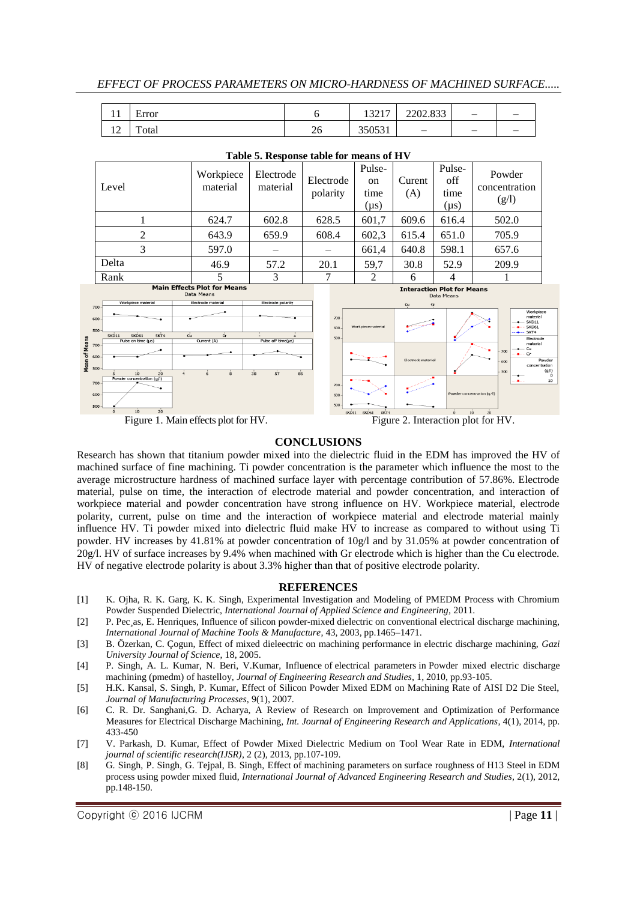*EFFECT OF PROCESS PARAMETERS ON MICRO-HARDNESS OF MACHINED SURFACE.....*

| . .<br>. .                     | Error             |          | 12217<br>1 <i>04</i> 1 | 2202.022<br>2202.033     |  |
|--------------------------------|-------------------|----------|------------------------|--------------------------|--|
| $\sim$<br>$\overline{1}$<br>-- | <b>m</b><br>`otal | $\omega$ | 20001<br><u>,,,,,,</u> | $\overline{\phantom{0}}$ |  |

| Level                                                                                                              | Workpiece<br>material | Electrode<br>material | Electrode<br>polarity | Pulse-<br><sub>on</sub><br>time<br>(µs) | Curent<br>(A) | Pulse-<br>off<br>time<br>(µs)                   | Powder<br>concentration<br>(g/l) |  |
|--------------------------------------------------------------------------------------------------------------------|-----------------------|-----------------------|-----------------------|-----------------------------------------|---------------|-------------------------------------------------|----------------------------------|--|
|                                                                                                                    | 624.7                 | 602.8                 | 628.5                 | 601,7                                   | 609.6         | 616.4                                           | 502.0                            |  |
| $\mathfrak{D}$                                                                                                     | 643.9                 | 659.9                 | 608.4                 | 602,3                                   | 615.4         | 651.0                                           | 705.9                            |  |
| 3                                                                                                                  | 597.0                 |                       |                       | 661,4                                   | 640.8         | 598.1                                           | 657.6                            |  |
| Delta                                                                                                              | 46.9                  | 57.2                  | 20.1                  | 59,7                                    | 30.8          | 52.9                                            | 209.9                            |  |
| Rank                                                                                                               | 5                     | 3                     |                       | 2                                       | 6             | 4                                               |                                  |  |
| <b>Main Effects Plot for Means</b><br>Data Means<br>Electrode polarity<br>Workpiece material<br>Electrode material |                       |                       |                       |                                         | Cu<br>G       | <b>Interaction Plot for Means</b><br>Data Means |                                  |  |
| 00<br>nn J                                                                                                         |                       |                       | $700 -$               |                                         |               |                                                 | Workpiece<br>material            |  |

#### **Table 5. Response table for means of HV**



Figure 1. Main effects plot for HV. Figure 2. Interaction plot for HV.



### **CONCLUSIONS**

Research has shown that titanium powder mixed into the dielectric fluid in the EDM has improved the HV of machined surface of fine machining. Ti powder concentration is the parameter which influence the most to the average microstructure hardness of machined surface layer with percentage contribution of 57.86%. Electrode material, pulse on time, the interaction of electrode material and powder concentration, and interaction of workpiece material and powder concentration have strong influence on HV. Workpiece material, electrode polarity, current, pulse on time and the interaction of workpiece material and electrode material mainly influence HV. Ti powder mixed into dielectric fluid make HV to increase as compared to without using Ti powder. HV increases by 41.81% at powder concentration of 10g/l and by 31.05% at powder concentration of 20g/l. HV of surface increases by 9.4% when machined with Gr electrode which is higher than the Cu electrode. HV of negative electrode polarity is about 3.3% higher than that of positive electrode polarity.

#### **REFERENCES**

- [1] K. Ojha, R. K. Garg, K. K. Singh, Experimental Investigation and Modeling of PMEDM Process with Chromium Powder Suspended Dielectric, *International Journal of Applied Science and Engineering,* 2011.
- [2] P. Pec as, E. Henriques, Influence of silicon powder-mixed dielectric on conventional electrical discharge machining, *International Journal of Machine Tools & Manufacture*, 43, 2003, pp.1465–1471.
- [3] B. Özerkan, C. Çogun, Effect of mixed dieleectric on machining performance in electric discharge machining, *Gazi University Journal of Science*, 18, 2005.
- [4] P. Singh, A. L. Kumar, N. Beri, V.Kumar, Influence of electrical parameters in Powder mixed electric discharge machining (pmedm) of hastelloy*, Journal of Engineering Research and Studies*, 1, 2010, pp.93-105.
- [5] H.K. Kansal, S. Singh, P. Kumar, Effect of Silicon Powder Mixed EDM on Machining Rate of AISI D2 Die Steel, *Journal of Manufacturing Processes*, 9(1), 2007.
- [6] C. R. Dr. Sanghani,G. D. Acharya, A Review of Research on Improvement and Optimization of Performance Measures for Electrical Discharge Machining, *Int. Journal of Engineering Research and Applications*, 4(1), 2014, pp. 433-450
- [7] V. Parkash, D. Kumar, Effect of Powder Mixed Dielectric Medium on Tool Wear Rate in EDM, *International journal of scientific research(IJSR)*, 2 (2), 2013, pp.107-109.
- [8] G. Singh, P. Singh, G. Tejpal, B. Singh, Effect of machining parameters on surface roughness of H13 Steel in EDM process using powder mixed fluid, *International Journal of Advanced Engineering Research and Studies*, 2(1), 2012, pp.148-150.

Copyright © 2016 IJCRM **and Contact Contact Contact Contact Contact Contact Contact Contact Contact Contact Contact Contact Contact Contact Contact Contact Contact Contact Contact Contact Contact Contact Contact Contact Co**